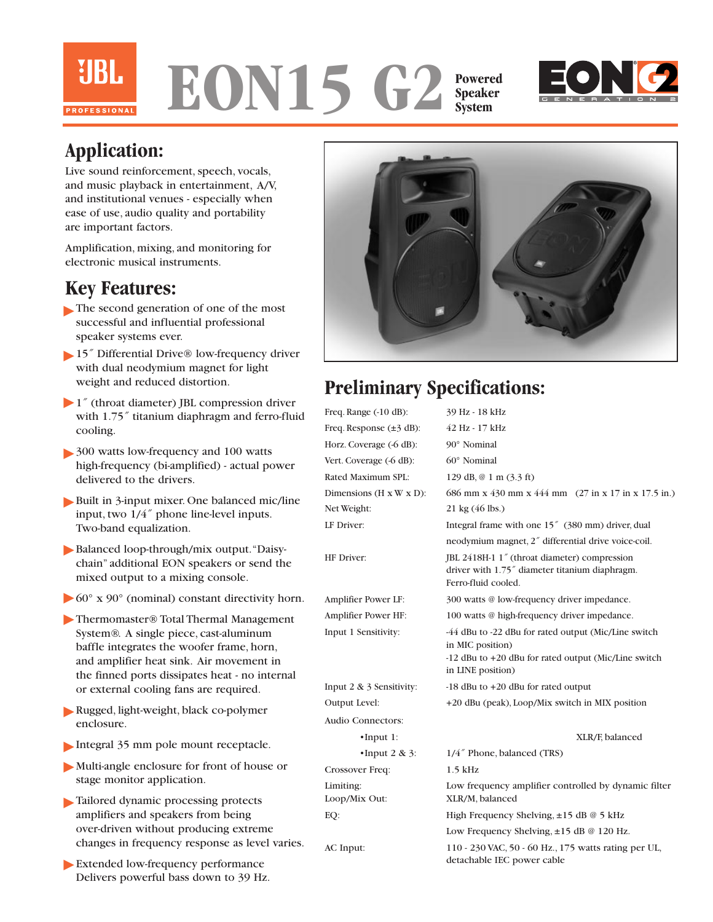

#### **EON15 G2 Powered Speaker System**



## **Application:**

Live sound reinforcement, speech, vocals, and music playback in entertainment, A/V, and institutional venues - especially when ease of use, audio quality and portability are important factors.

Amplification, mixing, and monitoring for electronic musical instruments.

### **Key Features:**

- The second generation of one of the most successful and influential professional speaker systems ever.
- 15<sup>"</sup> Differential Drive® low-frequency driver with dual neodymium magnet for light weight and reduced distortion.
- 1" (throat diameter) JBL compression driver with 1.75<sup>"</sup> titanium diaphragm and ferro-fluid cooling.
- > 300 watts low-frequency and 100 watts high-frequency (bi-amplified) - actual power delivered to the drivers.
- Built in 3-input mixer. One balanced mic/line input, two 1/4˝ phone line-level inputs. Two-band equalization.
- Balanced loop-through/mix output. "Daisychain" additional EON speakers or send the mixed output to a mixing console.
- $\blacktriangleright$  60° x 90° (nominal) constant directivity horn.
- ▶ Thermomaster® Total Thermal Management System®. A single piece, cast-aluminum baffle integrates the woofer frame, horn, and amplifier heat sink. Air movement in the finned ports dissipates heat - no internal or external cooling fans are required.
- Rugged, light-weight, black co-polymer enclosure.
- Integral 35 mm pole mount receptacle.
- Multi-angle enclosure for front of house or stage monitor application.
- Tailored dynamic processing protects ▼amplifiers and speakers from being over-driven without producing extreme changes in frequency response as level varies.
- ▶ Extended low-frequency performance Delivers powerful bass down to 39 Hz.



# **Preliminary Specifications:**

| Freq. Range $(-10$ dB):               | 39 Hz - 18 kHz                                                                                                                                        |
|---------------------------------------|-------------------------------------------------------------------------------------------------------------------------------------------------------|
| Freq. Response $(\pm 3$ dB):          | 42 Hz - 17 kHz                                                                                                                                        |
| Horz. Coverage (-6 dB):               | 90° Nominal                                                                                                                                           |
| Vert. Coverage (-6 dB):               | 60° Nominal                                                                                                                                           |
| Rated Maximum SPL:                    | 129 dB, @ 1 m (3.3 ft)                                                                                                                                |
| Dimensions ( $H \times W \times D$ ): | 686 mm x 430 mm x 444 mm (27 in x 17 in x 17.5 in.)                                                                                                   |
| Net Weight:                           | 21 kg (46 lbs.)                                                                                                                                       |
| LF Driver:                            | Integral frame with one 15" (380 mm) driver, dual                                                                                                     |
|                                       | neodymium magnet, 2" differential drive voice-coil.                                                                                                   |
| <b>HF</b> Driver:                     | JBL 2418H-1 1" (throat diameter) compression<br>driver with 1.75" diameter titanium diaphragm.<br>Ferro-fluid cooled.                                 |
| Amplifier Power LF:                   | 300 watts @ low-frequency driver impedance.                                                                                                           |
| Amplifier Power HF:                   | 100 watts @ high-frequency driver impedance.                                                                                                          |
| Input 1 Sensitivity:                  | -44 dBu to -22 dBu for rated output (Mic/Line switch<br>in MIC position)<br>-12 dBu to +20 dBu for rated output (Mic/Line switch<br>in LINE position) |
| Input $2 \& 3$ Sensitivity:           | -18 dBu to +20 dBu for rated output                                                                                                                   |
| Output Level:                         | +20 dBu (peak), Loop/Mix switch in MIX position                                                                                                       |
| <b>Audio Connectors:</b>              |                                                                                                                                                       |
| $\cdot$ Input 1:                      | XLR/F, balanced                                                                                                                                       |
| $\cdot$ Input 2 & 3:                  | 1/4" Phone, balanced (TRS)                                                                                                                            |
| Crossover Freq:                       | $1.5$ kHz                                                                                                                                             |
| Limiting:<br>Loop/Mix Out:            | Low frequency amplifier controlled by dynamic filter<br>XLR/M, balanced                                                                               |
| EO:                                   | High Frequency Shelving, $\pm 15$ dB @ 5 kHz                                                                                                          |
|                                       | Low Frequency Shelving, $\pm 15$ dB @ 120 Hz.                                                                                                         |
| AC Input:                             | 110 - 230 VAC, 50 - 60 Hz., 175 watts rating per UL,<br>detachable IEC power cable                                                                    |